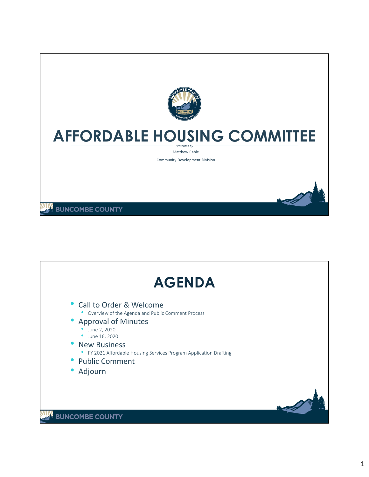

## **AFFORDABLE HOUSING COMMITTEE**

*Presented by* Matthew Cable

Community Development Division

**BUNCOMBE COUNTY** 

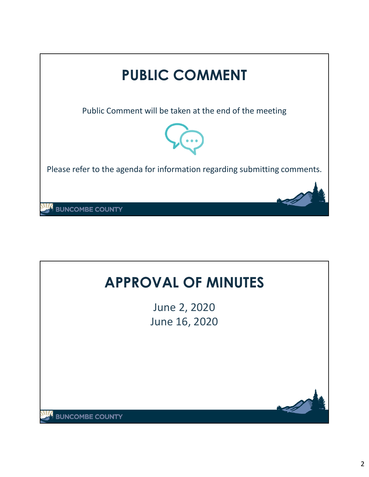

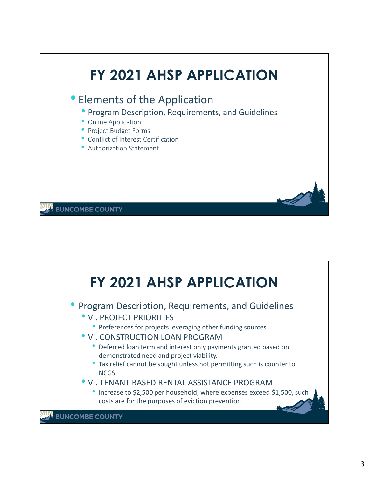